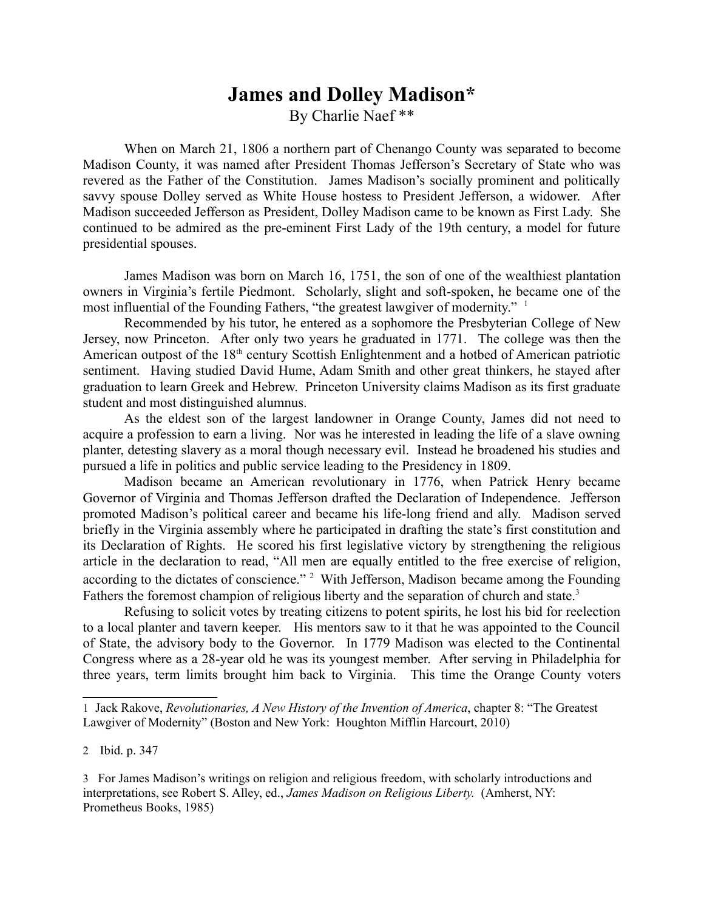## **James and Dolley Madison\*** By Charlie Naef \*\*

When on March 21, 1806 a northern part of Chenango County was separated to become Madison County, it was named after President Thomas Jefferson's Secretary of State who was revered as the Father of the Constitution. James Madison's socially prominent and politically savvy spouse Dolley served as White House hostess to President Jefferson, a widower. After Madison succeeded Jefferson as President, Dolley Madison came to be known as First Lady. She continued to be admired as the pre-eminent First Lady of the 19th century, a model for future presidential spouses.

James Madison was born on March 16, 1751, the son of one of the wealthiest plantation owners in Virginia's fertile Piedmont. Scholarly, slight and soft-spoken, he became one of the most influential of the Founding Fathers, "the greatest lawgiver of modernity." <sup>1</sup>

Recommended by his tutor, he entered as a sophomore the Presbyterian College of New Jersey, now Princeton. After only two years he graduated in 1771. The college was then the American outpost of the 18<sup>th</sup> century Scottish Enlightenment and a hotbed of American patriotic sentiment. Having studied David Hume, Adam Smith and other great thinkers, he stayed after graduation to learn Greek and Hebrew. Princeton University claims Madison as its first graduate student and most distinguished alumnus.

As the eldest son of the largest landowner in Orange County, James did not need to acquire a profession to earn a living. Nor was he interested in leading the life of a slave owning planter, detesting slavery as a moral though necessary evil. Instead he broadened his studies and pursued a life in politics and public service leading to the Presidency in 1809.

Madison became an American revolutionary in 1776, when Patrick Henry became Governor of Virginia and Thomas Jefferson drafted the Declaration of Independence. Jefferson promoted Madison's political career and became his life-long friend and ally. Madison served briefly in the Virginia assembly where he participated in drafting the state's first constitution and its Declaration of Rights. He scored his first legislative victory by strengthening the religious article in the declaration to read, "All men are equally entitled to the free exercise of religion, according to the dictates of conscience." <sup>2</sup> With Jefferson, Madison became among the Founding Fathers the foremost champion of religious liberty and the separation of church and state.<sup>3</sup>

Refusing to solicit votes by treating citizens to potent spirits, he lost his bid for reelection to a local planter and tavern keeper. His mentors saw to it that he was appointed to the Council of State, the advisory body to the Governor. In 1779 Madison was elected to the Continental Congress where as a 28-year old he was its youngest member. After serving in Philadelphia for three years, term limits brought him back to Virginia. This time the Orange County voters

<sup>1</sup> Jack Rakove, *Revolutionaries, A New History of the Invention of America*, chapter 8: "The Greatest Lawgiver of Modernity" (Boston and New York: Houghton Mifflin Harcourt, 2010)

<sup>2</sup> Ibid. p. 347

<sup>3</sup> For James Madison's writings on religion and religious freedom, with scholarly introductions and interpretations, see Robert S. Alley, ed., *James Madison on Religious Liberty.* (Amherst, NY: Prometheus Books, 1985)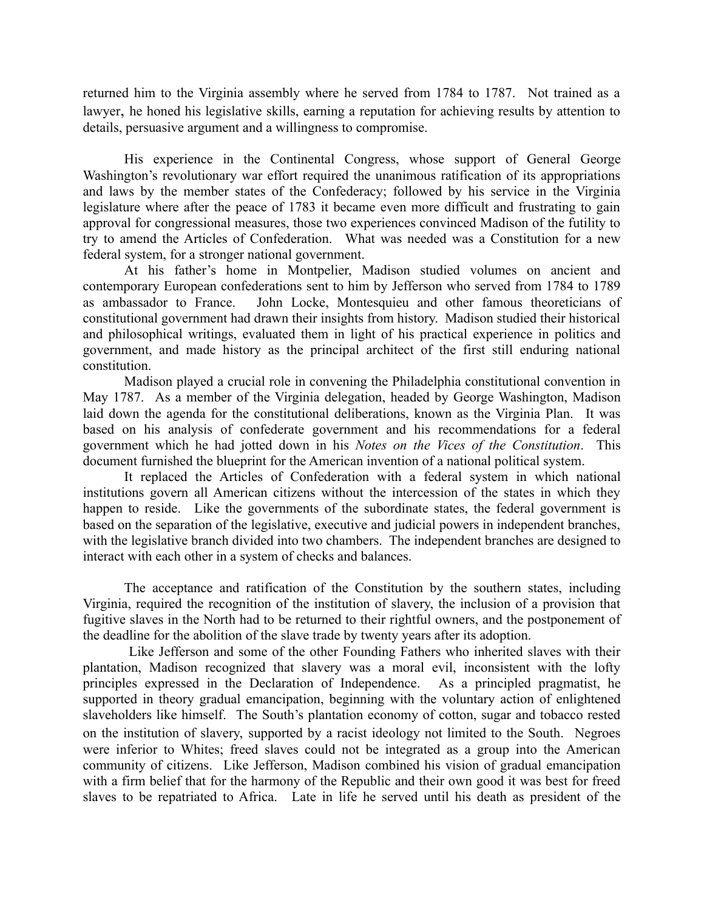returned him to the Virginia assembly where he served from 1784 to 1787. Not trained as a lawyer, he honed his legislative skills, earning a reputation for achieving results by attention to details, persuasive argument and a willingness to compromise.

His experience in the Continental Congress, whose support of General George Washington's revolutionary war effort required the unanimous ratification of its appropriations and laws by the member states of the Confederacy; followed by his service in the Virginia legislature where after the peace of 1783 it became even more difficult and frustrating to gain approval for congressional measures, those two experiences convinced Madison of the futility to try to amend the Articles of Confederation. What was needed was a Constitution for a new federal system, for a stronger national government.

At his father's home in Montpelier, Madison studied volumes on ancient and contemporary European confederations sent to him by Jefferson who served from 1784 to 1789 as ambassador to France. John Locke, Montesquieu and other famous theoreticians of constitutional government had drawn their insights from history. Madison studied their historical and philosophical writings, evaluated them in light of his practical experience in politics and government, and made history as the principal architect of the first still enduring national constitution.

Madison played a crucial role in convening the Philadelphia constitutional convention in May 1787. As a member of the Virginia delegation, headed by George Washington, Madison laid down the agenda for the constitutional deliberations, known as the Virginia Plan. It was based on his analysis of confederate government and his recommendations for a federal government which he had jotted down in his *Notes on the Vices of the Constitution*. This document furnished the blueprint for the American invention of a national political system.

It replaced the Articles of Confederation with a federal system in which national institutions govern all American citizens without the intercession of the states in which they happen to reside. Like the governments of the subordinate states, the federal government is based on the separation of the legislative, executive and judicial powers in independent branches, with the legislative branch divided into two chambers. The independent branches are designed to interact with each other in a system of checks and balances.

The acceptance and ratification of the Constitution by the southern states, including Virginia, required the recognition of the institution of slavery, the inclusion of a provision that fugitive slaves in the North had to be returned to their rightful owners, and the postponement of the deadline for the abolition of the slave trade by twenty years after its adoption.

 Like Jefferson and some of the other Founding Fathers who inherited slaves with their plantation, Madison recognized that slavery was a moral evil, inconsistent with the lofty principles expressed in the Declaration of Independence. As a principled pragmatist, he supported in theory gradual emancipation, beginning with the voluntary action of enlightened slaveholders like himself. The South's plantation economy of cotton, sugar and tobacco rested on the institution of slavery, supported by a racist ideology not limited to the South. Negroes were inferior to Whites; freed slaves could not be integrated as a group into the American community of citizens. Like Jefferson, Madison combined his vision of gradual emancipation with a firm belief that for the harmony of the Republic and their own good it was best for freed slaves to be repatriated to Africa. Late in life he served until his death as president of the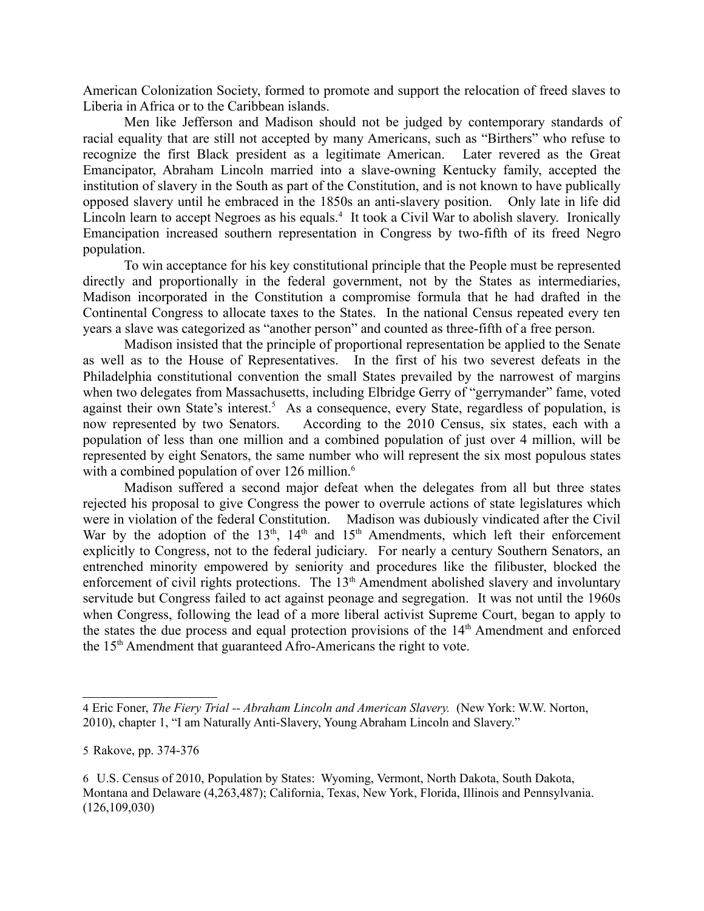American Colonization Society, formed to promote and support the relocation of freed slaves to Liberia in Africa or to the Caribbean islands.

Men like Jefferson and Madison should not be judged by contemporary standards of racial equality that are still not accepted by many Americans, such as "Birthers" who refuse to recognize the first Black president as a legitimate American. Later revered as the Great Emancipator, Abraham Lincoln married into a slave-owning Kentucky family, accepted the institution of slavery in the South as part of the Constitution, and is not known to have publically opposed slavery until he embraced in the 1850s an anti-slavery position. Only late in life did Lincoln learn to accept Negroes as his equals.<sup>4</sup> It took a Civil War to abolish slavery. Ironically Emancipation increased southern representation in Congress by two-fifth of its freed Negro population.

To win acceptance for his key constitutional principle that the People must be represented directly and proportionally in the federal government, not by the States as intermediaries, Madison incorporated in the Constitution a compromise formula that he had drafted in the Continental Congress to allocate taxes to the States. In the national Census repeated every ten years a slave was categorized as "another person" and counted as three-fifth of a free person.

Madison insisted that the principle of proportional representation be applied to the Senate as well as to the House of Representatives. In the first of his two severest defeats in the Philadelphia constitutional convention the small States prevailed by the narrowest of margins when two delegates from Massachusetts, including Elbridge Gerry of "gerrymander" fame, voted against their own State's interest.<sup>5</sup> As a consequence, every State, regardless of population, is now represented by two Senators. According to the 2010 Census, six states, each with a population of less than one million and a combined population of just over 4 million, will be represented by eight Senators, the same number who will represent the six most populous states with a combined population of over 126 million.<sup>6</sup>

Madison suffered a second major defeat when the delegates from all but three states rejected his proposal to give Congress the power to overrule actions of state legislatures which were in violation of the federal Constitution. Madison was dubiously vindicated after the Civil War by the adoption of the 13<sup>th</sup>, 14<sup>th</sup> and 15<sup>th</sup> Amendments, which left their enforcement explicitly to Congress, not to the federal judiciary. For nearly a century Southern Senators, an entrenched minority empowered by seniority and procedures like the filibuster, blocked the enforcement of civil rights protections. The  $13<sup>th</sup>$  Amendment abolished slavery and involuntary servitude but Congress failed to act against peonage and segregation. It was not until the 1960s when Congress, following the lead of a more liberal activist Supreme Court, began to apply to the states the due process and equal protection provisions of the  $14<sup>th</sup>$  Amendment and enforced the 15th Amendment that guaranteed Afro-Americans the right to vote.

<sup>4</sup> Eric Foner, *The Fiery Trial -- Abraham Lincoln and American Slavery.* (New York: W.W. Norton, 2010), chapter 1, "I am Naturally Anti-Slavery, Young Abraham Lincoln and Slavery."

<sup>5</sup> Rakove, pp. 374-376

<sup>6</sup> U.S. Census of 2010, Population by States: Wyoming, Vermont, North Dakota, South Dakota, Montana and Delaware (4,263,487); California, Texas, New York, Florida, Illinois and Pennsylvania. (126,109,030)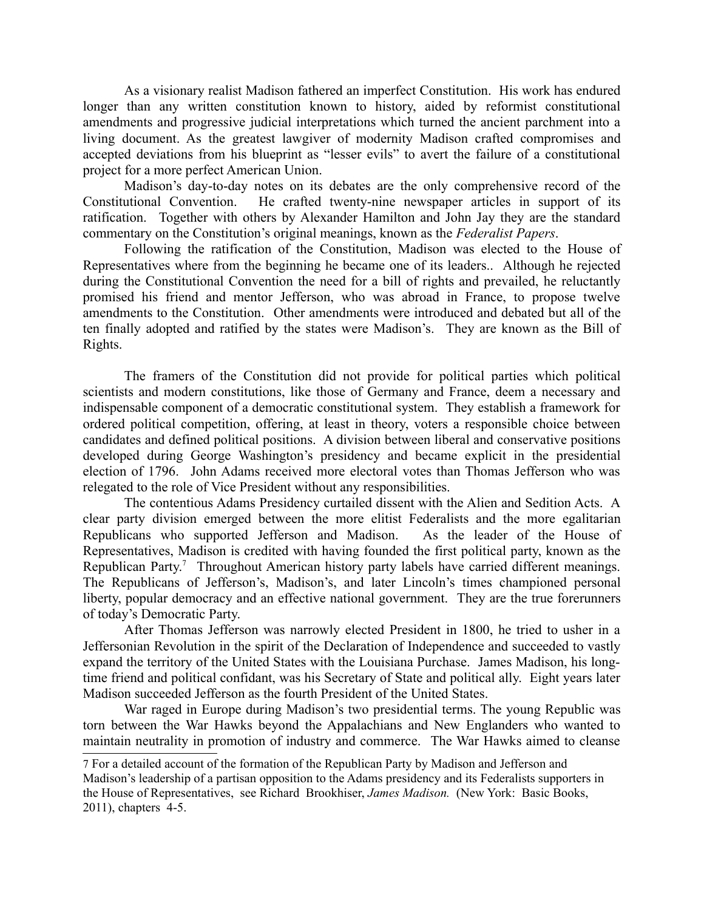As a visionary realist Madison fathered an imperfect Constitution. His work has endured longer than any written constitution known to history, aided by reformist constitutional amendments and progressive judicial interpretations which turned the ancient parchment into a living document. As the greatest lawgiver of modernity Madison crafted compromises and accepted deviations from his blueprint as "lesser evils" to avert the failure of a constitutional project for a more perfect American Union.

Madison's day-to-day notes on its debates are the only comprehensive record of the Constitutional Convention. He crafted twenty-nine newspaper articles in support of its ratification. Together with others by Alexander Hamilton and John Jay they are the standard commentary on the Constitution's original meanings, known as the *Federalist Papers*.

Following the ratification of the Constitution, Madison was elected to the House of Representatives where from the beginning he became one of its leaders.. Although he rejected during the Constitutional Convention the need for a bill of rights and prevailed, he reluctantly promised his friend and mentor Jefferson, who was abroad in France, to propose twelve amendments to the Constitution. Other amendments were introduced and debated but all of the ten finally adopted and ratified by the states were Madison's. They are known as the Bill of Rights.

The framers of the Constitution did not provide for political parties which political scientists and modern constitutions, like those of Germany and France, deem a necessary and indispensable component of a democratic constitutional system. They establish a framework for ordered political competition, offering, at least in theory, voters a responsible choice between candidates and defined political positions. A division between liberal and conservative positions developed during George Washington's presidency and became explicit in the presidential election of 1796. John Adams received more electoral votes than Thomas Jefferson who was relegated to the role of Vice President without any responsibilities.

The contentious Adams Presidency curtailed dissent with the Alien and Sedition Acts. A clear party division emerged between the more elitist Federalists and the more egalitarian Republicans who supported Jefferson and Madison. As the leader of the House of Representatives, Madison is credited with having founded the first political party, known as the Republican Party.<sup>7</sup> Throughout American history party labels have carried different meanings. The Republicans of Jefferson's, Madison's, and later Lincoln's times championed personal liberty, popular democracy and an effective national government. They are the true forerunners of today's Democratic Party.

After Thomas Jefferson was narrowly elected President in 1800, he tried to usher in a Jeffersonian Revolution in the spirit of the Declaration of Independence and succeeded to vastly expand the territory of the United States with the Louisiana Purchase. James Madison, his longtime friend and political confidant, was his Secretary of State and political ally. Eight years later Madison succeeded Jefferson as the fourth President of the United States.

War raged in Europe during Madison's two presidential terms. The young Republic was torn between the War Hawks beyond the Appalachians and New Englanders who wanted to maintain neutrality in promotion of industry and commerce. The War Hawks aimed to cleanse

<sup>7</sup> For a detailed account of the formation of the Republican Party by Madison and Jefferson and Madison's leadership of a partisan opposition to the Adams presidency and its Federalists supporters in the House of Representatives, see Richard Brookhiser, *James Madison.* (New York: Basic Books, 2011), chapters 4-5.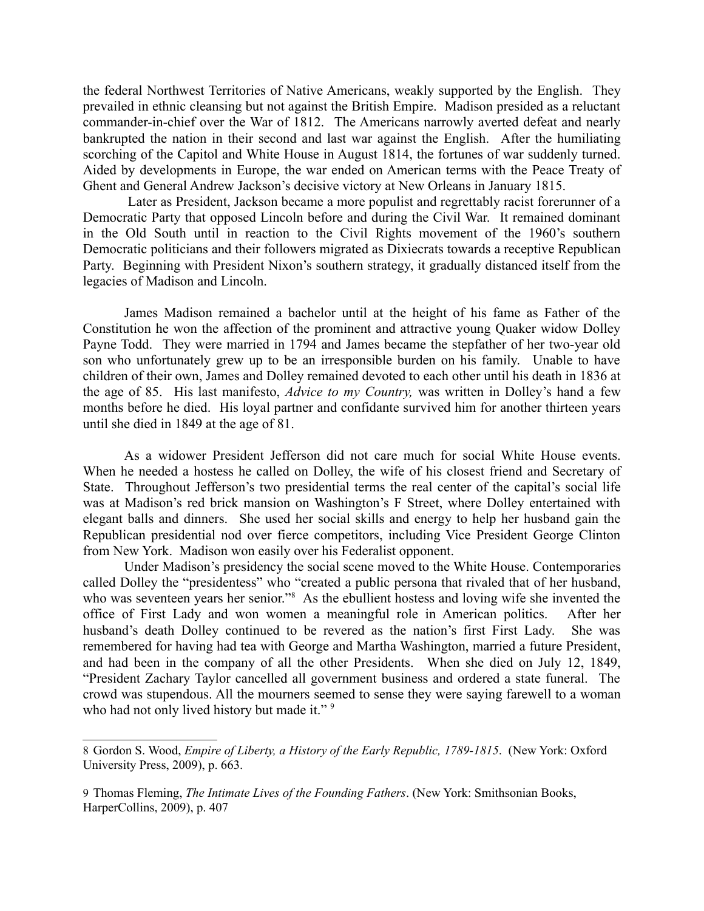the federal Northwest Territories of Native Americans, weakly supported by the English. They prevailed in ethnic cleansing but not against the British Empire. Madison presided as a reluctant commander-in-chief over the War of 1812. The Americans narrowly averted defeat and nearly bankrupted the nation in their second and last war against the English. After the humiliating scorching of the Capitol and White House in August 1814, the fortunes of war suddenly turned. Aided by developments in Europe, the war ended on American terms with the Peace Treaty of Ghent and General Andrew Jackson's decisive victory at New Orleans in January 1815.

 Later as President, Jackson became a more populist and regrettably racist forerunner of a Democratic Party that opposed Lincoln before and during the Civil War. It remained dominant in the Old South until in reaction to the Civil Rights movement of the 1960's southern Democratic politicians and their followers migrated as Dixiecrats towards a receptive Republican Party. Beginning with President Nixon's southern strategy, it gradually distanced itself from the legacies of Madison and Lincoln.

James Madison remained a bachelor until at the height of his fame as Father of the Constitution he won the affection of the prominent and attractive young Quaker widow Dolley Payne Todd. They were married in 1794 and James became the stepfather of her two-year old son who unfortunately grew up to be an irresponsible burden on his family. Unable to have children of their own, James and Dolley remained devoted to each other until his death in 1836 at the age of 85. His last manifesto, *Advice to my Country,* was written in Dolley's hand a few months before he died. His loyal partner and confidante survived him for another thirteen years until she died in 1849 at the age of 81.

As a widower President Jefferson did not care much for social White House events. When he needed a hostess he called on Dolley, the wife of his closest friend and Secretary of State. Throughout Jefferson's two presidential terms the real center of the capital's social life was at Madison's red brick mansion on Washington's F Street, where Dolley entertained with elegant balls and dinners. She used her social skills and energy to help her husband gain the Republican presidential nod over fierce competitors, including Vice President George Clinton from New York. Madison won easily over his Federalist opponent.

Under Madison's presidency the social scene moved to the White House. Contemporaries called Dolley the "presidentess" who "created a public persona that rivaled that of her husband, who was seventeen years her senior."<sup>8</sup> As the ebullient hostess and loving wife she invented the office of First Lady and won women a meaningful role in American politics. After her husband's death Dolley continued to be revered as the nation's first First Lady. She was remembered for having had tea with George and Martha Washington, married a future President, and had been in the company of all the other Presidents. When she died on July 12, 1849, "President Zachary Taylor cancelled all government business and ordered a state funeral. The crowd was stupendous. All the mourners seemed to sense they were saying farewell to a woman who had not only lived history but made it."<sup>9</sup>

<sup>8</sup> Gordon S. Wood, *Empire of Liberty, a History of the Early Republic, 1789-1815*. (New York: Oxford University Press, 2009), p. 663.

<sup>9</sup> Thomas Fleming, *The Intimate Lives of the Founding Fathers*. (New York: Smithsonian Books, HarperCollins, 2009), p. 407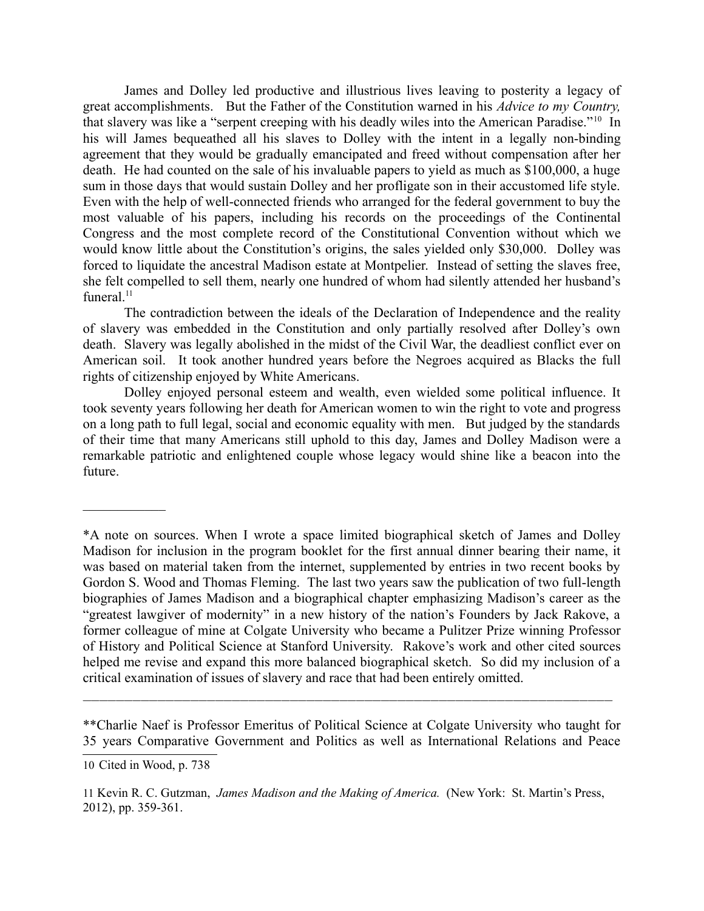James and Dolley led productive and illustrious lives leaving to posterity a legacy of great accomplishments. But the Father of the Constitution warned in his *Advice to my Country,* that slavery was like a "serpent creeping with his deadly wiles into the American Paradise."10 In his will James bequeathed all his slaves to Dolley with the intent in a legally non-binding agreement that they would be gradually emancipated and freed without compensation after her death. He had counted on the sale of his invaluable papers to yield as much as \$100,000, a huge sum in those days that would sustain Dolley and her profligate son in their accustomed life style. Even with the help of well-connected friends who arranged for the federal government to buy the most valuable of his papers, including his records on the proceedings of the Continental Congress and the most complete record of the Constitutional Convention without which we would know little about the Constitution's origins, the sales yielded only \$30,000. Dolley was forced to liquidate the ancestral Madison estate at Montpelier. Instead of setting the slaves free, she felt compelled to sell them, nearly one hundred of whom had silently attended her husband's funeral. $11$ 

The contradiction between the ideals of the Declaration of Independence and the reality of slavery was embedded in the Constitution and only partially resolved after Dolley's own death. Slavery was legally abolished in the midst of the Civil War, the deadliest conflict ever on American soil. It took another hundred years before the Negroes acquired as Blacks the full rights of citizenship enjoyed by White Americans.

Dolley enjoyed personal esteem and wealth, even wielded some political influence. It took seventy years following her death for American women to win the right to vote and progress on a long path to full legal, social and economic equality with men. But judged by the standards of their time that many Americans still uphold to this day, James and Dolley Madison were a remarkable patriotic and enlightened couple whose legacy would shine like a beacon into the future.

\*\*Charlie Naef is Professor Emeritus of Political Science at Colgate University who taught for 35 years Comparative Government and Politics as well as International Relations and Peace

 $\_$  , and the set of the set of the set of the set of the set of the set of the set of the set of the set of the set of the set of the set of the set of the set of the set of the set of the set of the set of the set of th

 $\mathcal{L}_\text{max}$ 

<sup>\*</sup>A note on sources. When I wrote a space limited biographical sketch of James and Dolley Madison for inclusion in the program booklet for the first annual dinner bearing their name, it was based on material taken from the internet, supplemented by entries in two recent books by Gordon S. Wood and Thomas Fleming. The last two years saw the publication of two full-length biographies of James Madison and a biographical chapter emphasizing Madison's career as the "greatest lawgiver of modernity" in a new history of the nation's Founders by Jack Rakove, a former colleague of mine at Colgate University who became a Pulitzer Prize winning Professor of History and Political Science at Stanford University. Rakove's work and other cited sources helped me revise and expand this more balanced biographical sketch. So did my inclusion of a critical examination of issues of slavery and race that had been entirely omitted.

<sup>10</sup> Cited in Wood, p. 738

<sup>11</sup> Kevin R. C. Gutzman, *James Madison and the Making of America.* (New York: St. Martin's Press, 2012), pp. 359-361.